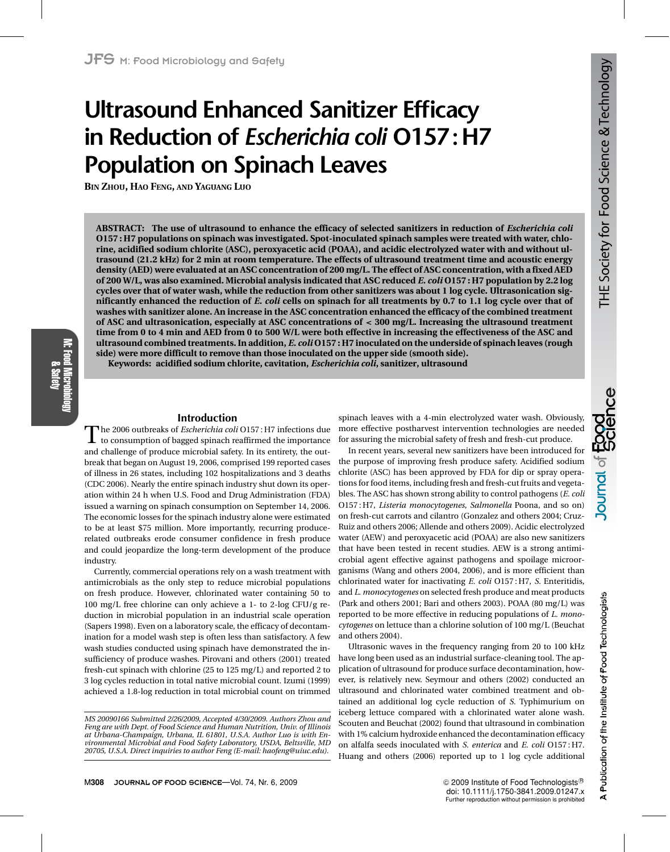# **Ultrasound Enhanced Sanitizer Efficacy in Reduction of** *Escherichia coli* **O157:H7 Population on Spinach Leaves**

**BIN ZHOU, HAO FENG, AND YAGUANG LUO**

M:<u>ਛੂ</u>

&Safety

Microbiology

**ABSTRACT: The use of ultrasound to enhance the efficacy of selected sanitizers in reduction of** *Escherichia coli* **O157 : H7 populations on spinach was investigated. Spot-inoculated spinach samples were treated with water, chlorine, acidified sodium chlorite (ASC), peroxyacetic acid (POAA), and acidic electrolyzed water with and without ultrasound (21.2 kHz) for 2 min at room temperature. The effects of ultrasound treatment time and acoustic energy density (AED) were evaluated at an ASC concentration of 200 mg/L. The effect of ASC concentration, with a fixed AED of 200 W/L, was also examined. Microbial analysis indicated that ASC reduced** *E. coli* **O157 : H7 population by 2.2 log cycles over that of water wash, while the reduction from other sanitizers was about 1 log cycle. Ultrasonication significantly enhanced the reduction of** *E. coli* **cells on spinach for all treatments by 0.7 to 1.1 log cycle over that of washes with sanitizer alone. An increase in the ASC concentration enhanced the efficacy of the combined treatment of ASC and ultrasonication, especially at ASC concentrations of** *<* **300 mg/L. Increasing the ultrasound treatment time from 0 to 4 min and AED from 0 to 500 W/L were both effective in increasing the effectiveness of the ASC and ultrasound combined treatments. In addition,** *E. coli* **O157 : H7 inoculated on the underside of spinach leaves (rough side) were more difficult to remove than those inoculated on the upper side (smooth side).**

**Keywords: acidified sodium chlorite, cavitation,** *Escherichia coli***, sanitizer, ultrasound**

# **Introduction**

The 2006 outbreaks of *Escherichia coli* O157: H7 infections due<br>to consumption of bagged spinach reaffirmed the importance and challenge of produce microbial safety. In its entirety, the outbreak that began on August 19, 2006, comprised 199 reported cases of illness in 26 states, including 102 hospitalizations and 3 deaths (CDC 2006). Nearly the entire spinach industry shut down its operation within 24 h when U.S. Food and Drug Administration (FDA) issued a warning on spinach consumption on September 14, 2006. The economic losses for the spinach industry alone were estimated to be at least \$75 million. More importantly, recurring producerelated outbreaks erode consumer confidence in fresh produce and could jeopardize the long-term development of the produce industry.

Currently, commercial operations rely on a wash treatment with antimicrobials as the only step to reduce microbial populations on fresh produce. However, chlorinated water containing 50 to 100 mg/L free chlorine can only achieve a 1- to 2-log CFU/g reduction in microbial population in an industrial scale operation (Sapers 1998). Even on a laboratory scale, the efficacy of decontamination for a model wash step is often less than satisfactory. A few wash studies conducted using spinach have demonstrated the insufficiency of produce washes. Pirovani and others (2001) treated fresh-cut spinach with chlorine (25 to 125 mg/L) and reported 2 to 3 log cycles reduction in total native microbial count. Izumi (1999) achieved a 1.8-log reduction in total microbial count on trimmed

spinach leaves with a 4-min electrolyzed water wash. Obviously, more effective postharvest intervention technologies are needed for assuring the microbial safety of fresh and fresh-cut produce.

In recent years, several new sanitizers have been introduced for the purpose of improving fresh produce safety. Acidified sodium chlorite (ASC) has been approved by FDA for dip or spray operations for food items, including fresh and fresh-cut fruits and vegetables. The ASC has shown strong ability to control pathogens (*E. coli* O157 : H7, *Listeria monocytogenes*, *Salmonella* Poona, and so on) on fresh-cut carrots and cilantro (Gonzalez and others 2004; Cruz-Ruiz and others 2006; Allende and others 2009). Acidic electrolyzed water (AEW) and peroxyacetic acid (POAA) are also new sanitizers that have been tested in recent studies. AEW is a strong antimicrobial agent effective against pathogens and spoilage microorganisms (Wang and others 2004, 2006), and is more efficient than chlorinated water for inactivating *E. coli* O157 : H7, *S.* Enteritidis, and *L. monocytogenes* on selected fresh produce and meat products (Park and others 2001; Bari and others 2003). POAA (80 mg/L) was reported to be more effective in reducing populations of *L. monocytogenes* on lettuce than a chlorine solution of 100 mg/L (Beuchat and others 2004).

Ultrasonic waves in the frequency ranging from 20 to 100 kHz have long been used as an industrial surface-cleaning tool. The application of ultrasound for produce surface decontamination, however, is relatively new. Seymour and others (2002) conducted an ultrasound and chlorinated water combined treatment and obtained an additional log cycle reduction of *S.* Typhimurium on iceberg lettuce compared with a chlorinated water alone wash. Scouten and Beuchat (2002) found that ultrasound in combination with 1% calcium hydroxide enhanced the decontamination efficacy on alfalfa seeds inoculated with *S. enterica* and *E. coli* O157 : H7. Huang and others (2006) reported up to 1 log cycle additional

*MS 20090166 Submitted 2/26/2009, Accepted 4/30/2009. Authors Zhou and Feng are with Dept. of Food Science and Human Nutrition, Univ. of Illinois at Urbana-Champaign, Urbana, IL 61801, U.S.A. Author Luo is with Environmental Microbial and Food Safety Laboratory, USDA, Beltsville, MD 20705, U.S.A. Direct inquiries to author Feng (E-mail: haofeng@uiuc.edu).*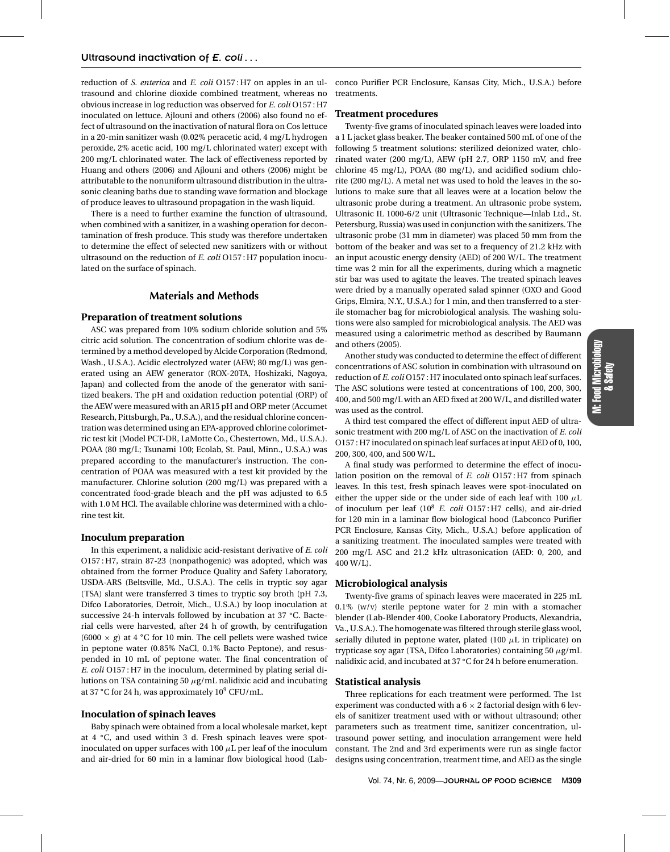reduction of *S. enterica* and *E. coli* O157 : H7 on apples in an ultrasound and chlorine dioxide combined treatment, whereas no obvious increase in log reduction was observed for *E. coli* O157 : H7 inoculated on lettuce. Ajlouni and others (2006) also found no effect of ultrasound on the inactivation of natural flora on Cos lettuce in a 20-min sanitizer wash (0.02% peracetic acid, 4 mg/L hydrogen peroxide, 2% acetic acid, 100 mg/L chlorinated water) except with 200 mg/L chlorinated water. The lack of effectiveness reported by Huang and others (2006) and Ajlouni and others (2006) might be attributable to the nonuniform ultrasound distribution in the ultrasonic cleaning baths due to standing wave formation and blockage of produce leaves to ultrasound propagation in the wash liquid.

There is a need to further examine the function of ultrasound, when combined with a sanitizer, in a washing operation for decontamination of fresh produce. This study was therefore undertaken to determine the effect of selected new sanitizers with or without ultrasound on the reduction of *E. coli* O157 : H7 population inoculated on the surface of spinach.

# **Materials and Methods**

#### **Preparation of treatment solutions**

ASC was prepared from 10% sodium chloride solution and 5% citric acid solution. The concentration of sodium chlorite was determined by a method developed by Alcide Corporation (Redmond, Wash., U.S.A.). Acidic electrolyzed water (AEW; 80 mg/L) was generated using an AEW generator (ROX-20TA, Hoshizaki, Nagoya, Japan) and collected from the anode of the generator with sanitized beakers. The pH and oxidation reduction potential (ORP) of the AEW were measured with an AR15 pH and ORP meter (Accumet Research, Pittsburgh, Pa., U.S.A.), and the residual chlorine concentration was determined using an EPA-approved chlorine colorimetric test kit (Model PCT-DR, LaMotte Co., Chestertown, Md., U.S.A.). POAA (80 mg/L; Tsunami 100; Ecolab, St. Paul, Minn., U.S.A.) was prepared according to the manufacturer's instruction. The concentration of POAA was measured with a test kit provided by the manufacturer. Chlorine solution (200 mg/L) was prepared with a concentrated food-grade bleach and the pH was adjusted to 6.5 with 1.0 M HCl. The available chlorine was determined with a chlorine test kit.

#### **Inoculum preparation**

In this experiment, a nalidixic acid-resistant derivative of *E. coli* O157 : H7, strain 87-23 (nonpathogenic) was adopted, which was obtained from the former Produce Quality and Safety Laboratory, USDA-ARS (Beltsville, Md., U.S.A.). The cells in tryptic soy agar (TSA) slant were transferred 3 times to tryptic soy broth (pH 7.3, Difco Laboratories, Detroit, Mich., U.S.A.) by loop inoculation at successive 24-h intervals followed by incubation at 37 **◦**C. Bacterial cells were harvested, after 24 h of growth, by centrifugation (6000  $\times$  *g*) at 4 °C for 10 min. The cell pellets were washed twice in peptone water (0.85% NaCl, 0.1% Bacto Peptone), and resuspended in 10 mL of peptone water. The final concentration of *E. coli* O157 : H7 in the inoculum, determined by plating serial dilutions on TSA containing 50  $\mu$ g/mL nalidixic acid and incubating at 37 **◦**C for 24 h, was approximately 10<sup>9</sup> CFU/mL.

#### **Inoculation of spinach leaves**

Baby spinach were obtained from a local wholesale market, kept at 4 **◦**C, and used within 3 d. Fresh spinach leaves were spotinoculated on upper surfaces with 100  $\mu$ L per leaf of the inoculum and air-dried for 60 min in a laminar flow biological hood (Lab-

conco Purifier PCR Enclosure, Kansas City, Mich., U.S.A.) before treatments.

### **Treatment procedures**

Twenty-five grams of inoculated spinach leaves were loaded into a 1 L jacket glass beaker. The beaker contained 500 mL of one of the following 5 treatment solutions: sterilized deionized water, chlorinated water (200 mg/L), AEW (pH 2.7, ORP 1150 mV, and free chlorine 45 mg/L), POAA (80 mg/L), and acidified sodium chlorite (200 mg/L). A metal net was used to hold the leaves in the solutions to make sure that all leaves were at a location below the ultrasonic probe during a treatment. An ultrasonic probe system, Ultrasonic IL 1000-6/2 unit (Ultrasonic Technique—Inlab Ltd., St. Petersburg, Russia) was used in conjunction with the sanitizers. The ultrasonic probe (31 mm in diameter) was placed 50 mm from the bottom of the beaker and was set to a frequency of 21.2 kHz with an input acoustic energy density (AED) of 200 W/L. The treatment time was 2 min for all the experiments, during which a magnetic stir bar was used to agitate the leaves. The treated spinach leaves were dried by a manually operated salad spinner (OXO and Good Grips, Elmira, N.Y., U.S.A.) for 1 min, and then transferred to a sterile stomacher bag for microbiological analysis. The washing solutions were also sampled for microbiological analysis. The AED was measured using a calorimetric method as described by Baumann and others (2005).

Another study was conducted to determine the effect of different concentrations of ASC solution in combination with ultrasound on reduction of *E. coli* O157 : H7 inoculated onto spinach leaf surfaces. The ASC solutions were tested at concentrations of 100, 200, 300, 400, and 500 mg/L with an AED fixed at 200 W/L, and distilled water was used as the control.

A third test compared the effect of different input AED of ultrasonic treatment with 200 mg/L of ASC on the inactivation of *E. coli* O157 : H7 inoculated on spinach leaf surfaces at input AED of 0, 100, 200, 300, 400, and 500 W/L.

A final study was performed to determine the effect of inoculation position on the removal of *E. coli* O157 : H7 from spinach leaves. In this test, fresh spinach leaves were spot-inoculated on either the upper side or the under side of each leaf with 100  $\mu$ L of inoculum per leaf (108 *E. coli* O157 : H7 cells), and air-dried for 120 min in a laminar flow biological hood (Labconco Purifier PCR Enclosure, Kansas City, Mich., U.S.A.) before application of a sanitizing treatment. The inoculated samples were treated with 200 mg/L ASC and 21.2 kHz ultrasonication (AED: 0, 200, and 400 W/L).

### **Microbiological analysis**

Twenty-five grams of spinach leaves were macerated in 225 mL 0.1% (w/v) sterile peptone water for 2 min with a stomacher blender (Lab-Blender 400, Cooke Laboratory Products, Alexandria, Va., U.S.A.). The homogenate was filtered through sterile glass wool, serially diluted in peptone water, plated (100  $\mu$ L in triplicate) on trypticase soy agar (TSA, Difco Laboratories) containing 50  $\mu$ g/mL nalidixic acid, and incubated at 37 **◦**C for 24 h before enumeration.

#### **Statistical analysis**

Three replications for each treatment were performed. The 1st experiment was conducted with a  $6 \times 2$  factorial design with 6 levels of sanitizer treatment used with or without ultrasound; other parameters such as treatment time, sanitizer concentration, ultrasound power setting, and inoculation arrangement were held constant. The 2nd and 3rd experiments were run as single factor designs using concentration, treatment time, and AED as the single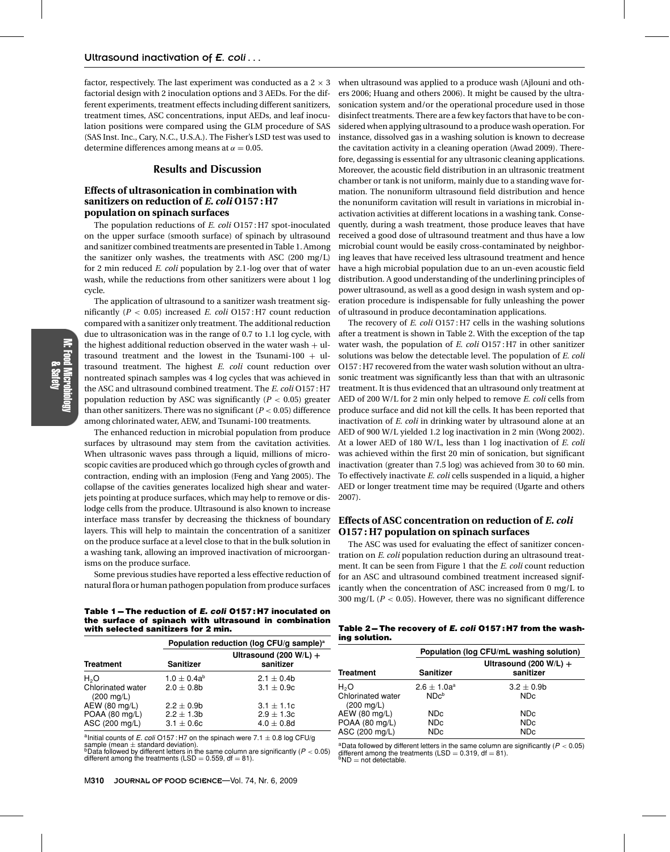factor, respectively. The last experiment was conducted as a  $2 \times 3$ factorial design with 2 inoculation options and 3 AEDs. For the different experiments, treatment effects including different sanitizers, treatment times, ASC concentrations, input AEDs, and leaf inoculation positions were compared using the GLM procedure of SAS (SAS Inst. Inc., Cary, N.C., U.S.A.). The Fisher's LSD test was used to determine differences among means at  $\alpha = 0.05$ .

# **Results and Discussion**

#### **Effects of ultrasonication in combination with sanitizers on reduction of** *E. coli* **O157 : H7 population on spinach surfaces**

The population reductions of *E. coli* O157 : H7 spot-inoculated on the upper surface (smooth surface) of spinach by ultrasound and sanitizer combined treatments are presented in Table 1. Among the sanitizer only washes, the treatments with ASC (200 mg/L) for 2 min reduced *E. coli* population by 2.1-log over that of water wash, while the reductions from other sanitizers were about 1 log cycle.

The application of ultrasound to a sanitizer wash treatment significantly (*P* < 0.05) increased *E. coli* O157 : H7 count reduction compared with a sanitizer only treatment. The additional reduction due to ultrasonication was in the range of 0.7 to 1.1 log cycle, with the highest additional reduction observed in the water wash  $+$  ultrasound treatment and the lowest in the Tsunami-100 + ultrasound treatment. The highest *E. coli* count reduction over nontreated spinach samples was 4 log cycles that was achieved in the ASC and ultrasound combined treatment. The *E. coli* O157 : H7 population reduction by ASC was significantly (*P* < 0.05) greater than other sanitizers. There was no significant  $(P < 0.05)$  difference among chlorinated water, AEW, and Tsunami-100 treatments.

The enhanced reduction in microbial population from produce surfaces by ultrasound may stem from the cavitation activities. When ultrasonic waves pass through a liquid, millions of microscopic cavities are produced which go through cycles of growth and contraction, ending with an implosion (Feng and Yang 2005). The collapse of the cavities generates localized high shear and waterjets pointing at produce surfaces, which may help to remove or dislodge cells from the produce. Ultrasound is also known to increase interface mass transfer by decreasing the thickness of boundary layers. This will help to maintain the concentration of a sanitizer on the produce surface at a level close to that in the bulk solution in a washing tank, allowing an improved inactivation of microorganisms on the produce surface.

Some previous studies have reported a less effective reduction of natural flora or human pathogen population from produce surfaces

Table 1 - The reduction of *E. coli* 0157: H7 inoculated on **the surface of spinach with ultrasound in combination with selected sanitizers for 2 min.**

|                                           | Population reduction (log CFU/g sample) <sup>a</sup> |                                       |  |  |
|-------------------------------------------|------------------------------------------------------|---------------------------------------|--|--|
| <b>Treatment</b>                          | Sanitizer                                            | Ultrasound (200 W/L) $+$<br>sanitizer |  |  |
| H <sub>2</sub> O                          | $1.0 \pm 0.4a^{6}$                                   | $2.1 \pm 0.4$ b                       |  |  |
| Chlorinated water<br>$(200 \text{ mg/L})$ | $2.0 \pm 0.8$ b                                      | $3.1 \pm 0.9c$                        |  |  |
| AEW (80 mg/L)                             | $2.2 \pm 0.9$ b                                      | $3.1 \pm 1.1c$                        |  |  |
| POAA (80 mg/L)                            | $2.2 \pm 1.3b$                                       | $2.9 \pm 1.3c$                        |  |  |
| ASC (200 mg/L)                            | $3.1 \pm 0.6c$                                       | $4.0 \pm 0.8$ d                       |  |  |

<sup>a</sup>Initial counts of *E. coli* O157: H7 on the spinach were  $7.1 \pm 0.8$  log CFU/g sample (mean  $\pm$  standard deviation).<br><sup>b</sup>Data followed by different letters in the same column are significantly (*P <* 0.05)

different among the treatments (LSD  $=$  0.559, df  $=$  81).

ers 2006; Huang and others 2006). It might be caused by the ultrasonication system and/or the operational procedure used in those disinfect treatments. There are a few key factors that have to be considered when applying ultrasound to a produce wash operation. For instance, dissolved gas in a washing solution is known to decrease the cavitation activity in a cleaning operation (Awad 2009). Therefore, degassing is essential for any ultrasonic cleaning applications. Moreover, the acoustic field distribution in an ultrasonic treatment chamber or tank is not uniform, mainly due to a standing wave formation. The nonuniform ultrasound field distribution and hence the nonuniform cavitation will result in variations in microbial inactivation activities at different locations in a washing tank. Consequently, during a wash treatment, those produce leaves that have received a good dose of ultrasound treatment and thus have a low microbial count would be easily cross-contaminated by neighboring leaves that have received less ultrasound treatment and hence have a high microbial population due to an un-even acoustic field distribution. A good understanding of the underlining principles of power ultrasound, as well as a good design in wash system and operation procedure is indispensable for fully unleashing the power of ultrasound in produce decontamination applications.

when ultrasound was applied to a produce wash (Ajlouni and oth-

The recovery of *E. coli* O157 : H7 cells in the washing solutions after a treatment is shown in Table 2. With the exception of the tap water wash, the population of *E. coli* O157 : H7 in other sanitizer solutions was below the detectable level. The population of *E. coli* O157 : H7 recovered from the water wash solution without an ultrasonic treatment was significantly less than that with an ultrasonic treatment. It is thus evidenced that an ultrasound only treatment at AED of 200 W/L for 2 min only helped to remove *E. coli* cells from produce surface and did not kill the cells. It has been reported that inactivation of *E. coli* in drinking water by ultrasound alone at an AED of 900 W/L yielded 1.2 log inactivation in 2 min (Wong 2002). At a lower AED of 180 W/L, less than 1 log inactivation of *E. coli* was achieved within the first 20 min of sonication, but significant inactivation (greater than 7.5 log) was achieved from 30 to 60 min. To effectively inactivate *E. coli* cells suspended in a liquid, a higher AED or longer treatment time may be required (Ugarte and others 2007).

## **Effects of ASC concentration on reduction of** *E. coli* **O157 : H7 population on spinach surfaces**

The ASC was used for evaluating the effect of sanitizer concentration on *E. coli* population reduction during an ultrasound treatment. It can be seen from Figure 1 that the *E. coli* count reduction for an ASC and ultrasound combined treatment increased significantly when the concentration of ASC increased from 0 mg/L to 300 mg/L (*P* < 0.05). However, there was no significant difference

|               |  |  | Table 2-The recovery of E. coli 0157: H7 from the wash- |  |
|---------------|--|--|---------------------------------------------------------|--|
| ing solution. |  |  |                                                         |  |

|                                           | Population (log CFU/mL washing solution) |                                     |  |  |
|-------------------------------------------|------------------------------------------|-------------------------------------|--|--|
| Treatment                                 | <b>Sanitizer</b>                         | Ultrasound (200 W/L) +<br>sanitizer |  |  |
| H,O                                       | $2.6 \pm 1.0a^a$                         | $3.2 \pm 0.9$ b                     |  |  |
| Chlorinated water<br>$(200 \text{ mg/L})$ | NDC <sup>b</sup>                         | ND <sub>c</sub>                     |  |  |
| AEW (80 mg/L)                             | ND <sub>c</sub>                          | ND <sub>c</sub>                     |  |  |
| POAA (80 mg/L)                            | NDc                                      | <b>NDc</b>                          |  |  |
| ASC (200 mg/L)                            | NDc                                      | <b>NDc</b>                          |  |  |

<sup>a</sup>Data followed by different letters in the same column are significantly ( $P < 0.05$ ) different among the treatments (LSD  $= 0.319$ , df  $= 81$ ).<br> ${}^{b}ND =$  not detectable.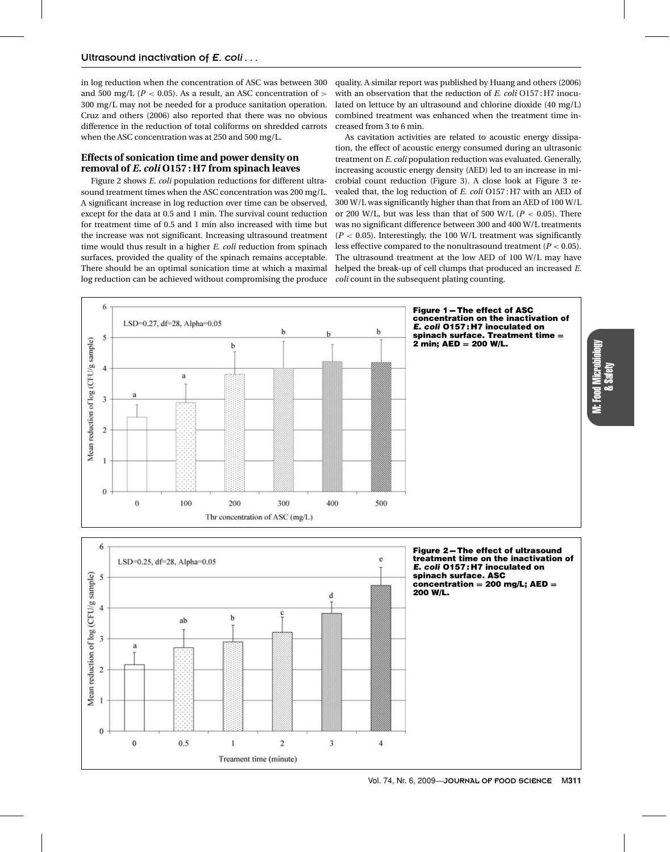$\mathbf{0}$ 

 $0.5$ 

 $\mathbf{1}$ 

Treament time (minute)

in log reduction when the concentration of ASC was between 300 and 500 mg/L ( $P < 0.05$ ). As a result, an ASC concentration of  $>$ 300 mg/L may not be needed for a produce sanitation operation. Cruz and others (2006) also reported that there was no obvious difference in the reduction of total coliforms on shredded carrots when the ASC concentration was at 250 and 500 mg/L.

## **Effects of sonication time and power density on removal of** *E. coli* **O157 : H7 from spinach leaves**

Figure 2 shows *E. coli* population reductions for different ultrasound treatment times when the ASC concentration was 200 mg/L. A significant increase in log reduction over time can be observed, except for the data at 0.5 and 1 min. The survival count reduction for treatment time of 0.5 and 1 min also increased with time but the increase was not significant. Increasing ultrasound treatment time would thus result in a higher *E. coli* reduction from spinach surfaces, provided the quality of the spinach remains acceptable. There should be an optimal sonication time at which a maximal log reduction can be achieved without compromising the produce

quality. A similar report was published by Huang and others (2006) with an observation that the reduction of *E. coli* O157 : H7 inoculated on lettuce by an ultrasound and chlorine dioxide (40 mg/L) combined treatment was enhanced when the treatment time increased from 3 to 6 min.

As cavitation activities are related to acoustic energy dissipation, the effect of acoustic energy consumed during an ultrasonic treatment on *E. coli* population reduction was evaluated. Generally, increasing acoustic energy density (AED) led to an increase in microbial count reduction (Figure 3). A close look at Figure 3 revealed that, the log reduction of *E. coli* O157 : H7 with an AED of 300 W/L was significantly higher than that from an AED of 100 W/L or 200 W/L, but was less than that of 500 W/L ( $P < 0.05$ ). There was no significant difference between 300 and 400 W/L treatments  $(P < 0.05)$ . Interestingly, the 100 W/L treatment was significantly less effective compared to the nonultrasound treatment  $(P < 0.05)$ . The ultrasound treatment at the low AED of 100 W/L may have helped the break-up of cell clumps that produced an increased *E. coli* count in the subsequent plating counting.



3

 $\overline{4}$ 

 $\overline{2}$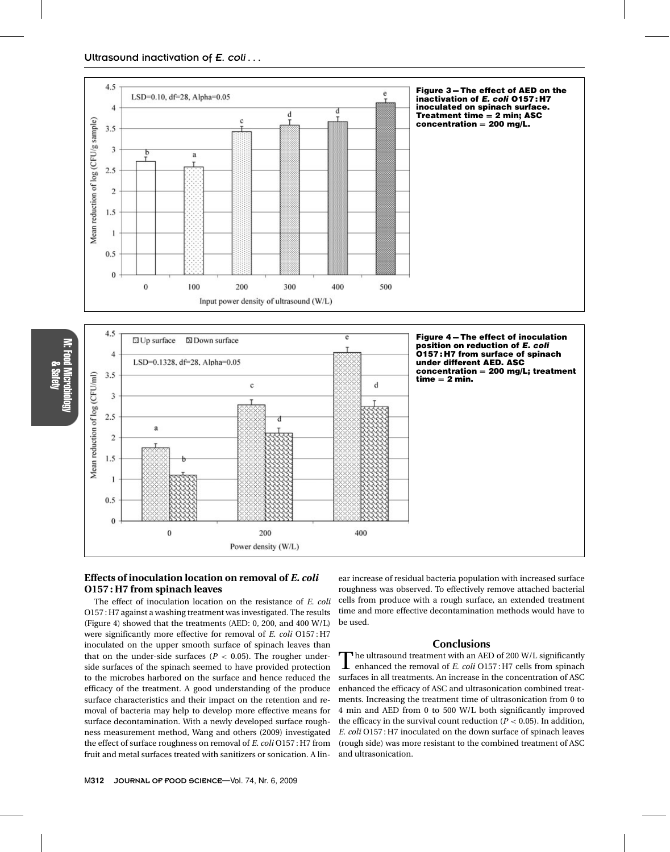M:<u>ਛੂ</u>

&Safety

Microbiology





## **Effects of inoculation location on removal of** *E. coli* **O157 : H7 from spinach leaves**

The effect of inoculation location on the resistance of *E. coli* O157 : H7 against a washing treatment was investigated. The results (Figure 4) showed that the treatments (AED: 0, 200, and 400 W/L) were significantly more effective for removal of *E. coli* O157 : H7 inoculated on the upper smooth surface of spinach leaves than that on the under-side surfaces ( $P < 0.05$ ). The rougher underside surfaces of the spinach seemed to have provided protection to the microbes harbored on the surface and hence reduced the efficacy of the treatment. A good understanding of the produce surface characteristics and their impact on the retention and removal of bacteria may help to develop more effective means for surface decontamination. With a newly developed surface roughness measurement method, Wang and others (2009) investigated the effect of surface roughness on removal of *E. coli* O157 : H7 from fruit and metal surfaces treated with sanitizers or sonication. A lin-

ear increase of residual bacteria population with increased surface roughness was observed. To effectively remove attached bacterial cells from produce with a rough surface, an extended treatment time and more effective decontamination methods would have to be used.

# **Conclusions**

The ultrasound treatment with an AED of 200 W/L significantly enhanced the removal of *E. coli* O157 : H7 cells from spinach surfaces in all treatments. An increase in the concentration of ASC enhanced the efficacy of ASC and ultrasonication combined treatments. Increasing the treatment time of ultrasonication from 0 to 4 min and AED from 0 to 500 W/L both significantly improved the efficacy in the survival count reduction  $(P < 0.05)$ . In addition, *E. coli* O157 : H7 inoculated on the down surface of spinach leaves (rough side) was more resistant to the combined treatment of ASC and ultrasonication.